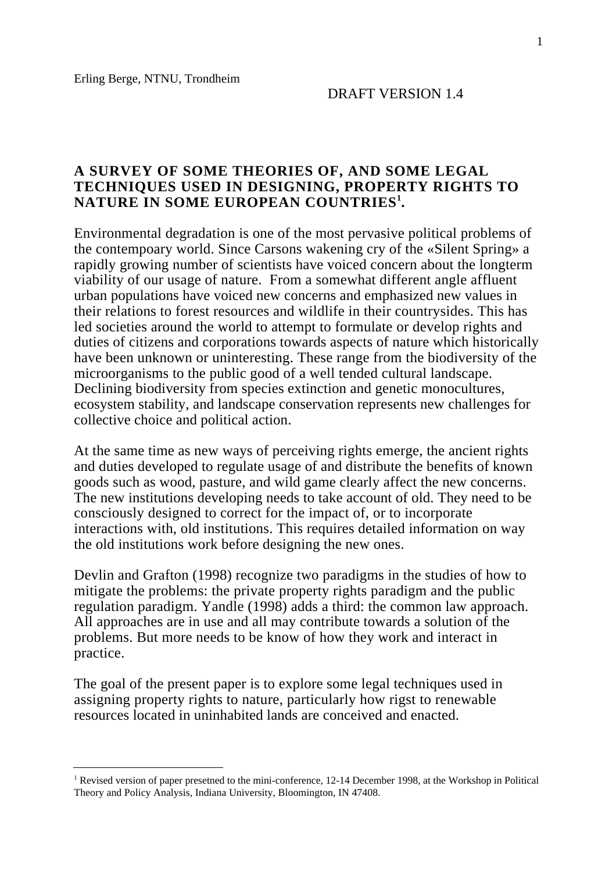$\overline{a}$ 

#### **A SURVEY OF SOME THEORIES OF, AND SOME LEGAL TECHNIQUES USED IN DESIGNING, PROPERTY RIGHTS TO NATURE IN SOME EUROPEAN COUNTRIES<sup>1</sup> .**

Environmental degradation is one of the most pervasive political problems of the contempoary world. Since Carsons wakening cry of the «Silent Spring» a rapidly growing number of scientists have voiced concern about the longterm viability of our usage of nature. From a somewhat different angle affluent urban populations have voiced new concerns and emphasized new values in their relations to forest resources and wildlife in their countrysides. This has led societies around the world to attempt to formulate or develop rights and duties of citizens and corporations towards aspects of nature which historically have been unknown or uninteresting. These range from the biodiversity of the microorganisms to the public good of a well tended cultural landscape. Declining biodiversity from species extinction and genetic monocultures, ecosystem stability, and landscape conservation represents new challenges for collective choice and political action.

At the same time as new ways of perceiving rights emerge, the ancient rights and duties developed to regulate usage of and distribute the benefits of known goods such as wood, pasture, and wild game clearly affect the new concerns. The new institutions developing needs to take account of old. They need to be consciously designed to correct for the impact of, or to incorporate interactions with, old institutions. This requires detailed information on way the old institutions work before designing the new ones.

Devlin and Grafton (1998) recognize two paradigms in the studies of how to mitigate the problems: the private property rights paradigm and the public regulation paradigm. Yandle (1998) adds a third: the common law approach. All approaches are in use and all may contribute towards a solution of the problems. But more needs to be know of how they work and interact in practice.

The goal of the present paper is to explore some legal techniques used in assigning property rights to nature, particularly how rigst to renewable resources located in uninhabited lands are conceived and enacted.

<sup>&</sup>lt;sup>1</sup> Revised version of paper presetned to the mini-conference, 12-14 December 1998, at the Workshop in Political Theory and Policy Analysis, Indiana University, Bloomington, IN 47408.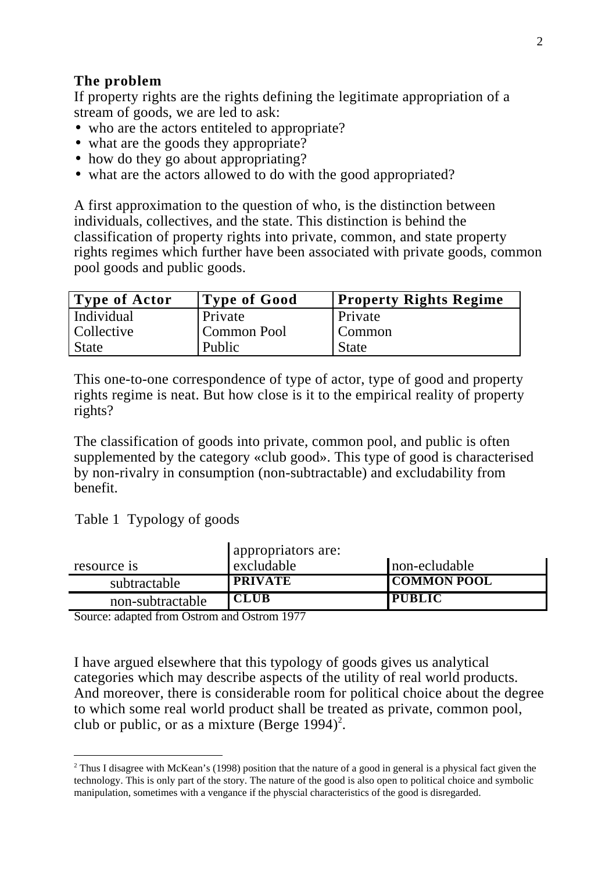### **The problem**

If property rights are the rights defining the legitimate appropriation of a stream of goods, we are led to ask:

- who are the actors entiteled to appropriate?
- what are the goods they appropriate?
- how do they go about appropriating?
- what are the actors allowed to do with the good appropriated?

A first approximation to the question of who, is the distinction between individuals, collectives, and the state. This distinction is behind the classification of property rights into private, common, and state property rights regimes which further have been associated with private goods, common pool goods and public goods.

| <b>Type of Actor</b> | Type of Good | <b>Property Rights Regime</b> |
|----------------------|--------------|-------------------------------|
| Individual           | Private      | Private                       |
| Collective           | Common Pool  | Common                        |
| <b>State</b>         | Public       | <b>State</b>                  |

This one-to-one correspondence of type of actor, type of good and property rights regime is neat. But how close is it to the empirical reality of property rights?

The classification of goods into private, common pool, and public is often supplemented by the category «club good». This type of good is characterised by non-rivalry in consumption (non-subtractable) and excludability from benefit.

Table 1 Typology of goods

 $\overline{a}$ 

|                  | appropriators are: |                    |  |  |
|------------------|--------------------|--------------------|--|--|
| resource is      | excludable         | non-ecludable      |  |  |
| subtractable     | <b>PRIVATE</b>     | <b>COMMON POOL</b> |  |  |
| non-subtractable | <b>CLUB</b>        | <b>PUBLIC</b>      |  |  |

Source: adapted from Ostrom and Ostrom 1977

I have argued elsewhere that this typology of goods gives us analytical categories which may describe aspects of the utility of real world products. And moreover, there is considerable room for political choice about the degree to which some real world product shall be treated as private, common pool, club or public, or as a mixture (Berge 1994)<sup>2</sup>.

 $2$  Thus I disagree with McKean's (1998) position that the nature of a good in general is a physical fact given the technology. This is only part of the story. The nature of the good is also open to political choice and symbolic manipulation, sometimes with a vengance if the physcial characteristics of the good is disregarded.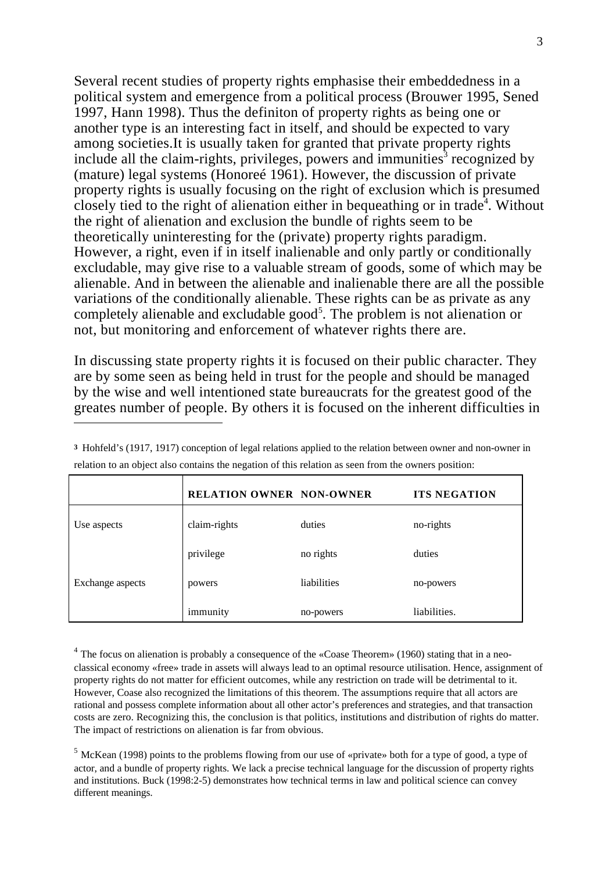Several recent studies of property rights emphasise their embeddedness in a political system and emergence from a political process (Brouwer 1995, Sened 1997, Hann 1998). Thus the definiton of property rights as being one or another type is an interesting fact in itself, and should be expected to vary among societies.It is usually taken for granted that private property rights include all the claim-rights, privileges, powers and immunities<sup>3</sup> recognized by (mature) legal systems (Honoreé 1961). However, the discussion of private property rights is usually focusing on the right of exclusion which is presumed closely tied to the right of alienation either in bequeathing or in trade<sup>4</sup>. Without the right of alienation and exclusion the bundle of rights seem to be theoretically uninteresting for the (private) property rights paradigm. However, a right, even if in itself inalienable and only partly or conditionally excludable, may give rise to a valuable stream of goods, some of which may be alienable. And in between the alienable and inalienable there are all the possible variations of the conditionally alienable. These rights can be as private as any completely alienable and excludable good<sup>5</sup>. The problem is not alienation or not, but monitoring and enforcement of whatever rights there are.

In discussing state property rights it is focused on their public character. They are by some seen as being held in trust for the people and should be managed by the wise and well intentioned state bureaucrats for the greatest good of the greates number of people. By others it is focused on the inherent difficulties in  $\overline{a}$ 

|                  | <b>RELATION OWNER NON-OWNER</b> |             | <b>ITS NEGATION</b> |
|------------------|---------------------------------|-------------|---------------------|
| Use aspects      | claim-rights                    | duties      | no-rights           |
|                  | privilege                       | no rights   | duties              |
| Exchange aspects | powers                          | liabilities | no-powers           |
|                  | immunity                        | no-powers   | liabilities.        |

**<sup>3</sup>** Hohfeld's (1917, 1917) conception of legal relations applied to the relation between owner and non-owner in relation to an object also contains the negation of this relation as seen from the owners position:

 $4$  The focus on alienation is probably a consequence of the «Coase Theorem» (1960) stating that in a neoclassical economy «free» trade in assets will always lead to an optimal resource utilisation. Hence, assignment of property rights do not matter for efficient outcomes, while any restriction on trade will be detrimental to it. However, Coase also recognized the limitations of this theorem. The assumptions require that all actors are rational and possess complete information about all other actor's preferences and strategies, and that transaction costs are zero. Recognizing this, the conclusion is that politics, institutions and distribution of rights do matter. The impact of restrictions on alienation is far from obvious.

 $<sup>5</sup>$  McKean (1998) points to the problems flowing from our use of «private» both for a type of good, a type of</sup> actor, and a bundle of property rights. We lack a precise technical language for the discussion of property rights and institutions. Buck (1998:2-5) demonstrates how technical terms in law and political science can convey different meanings.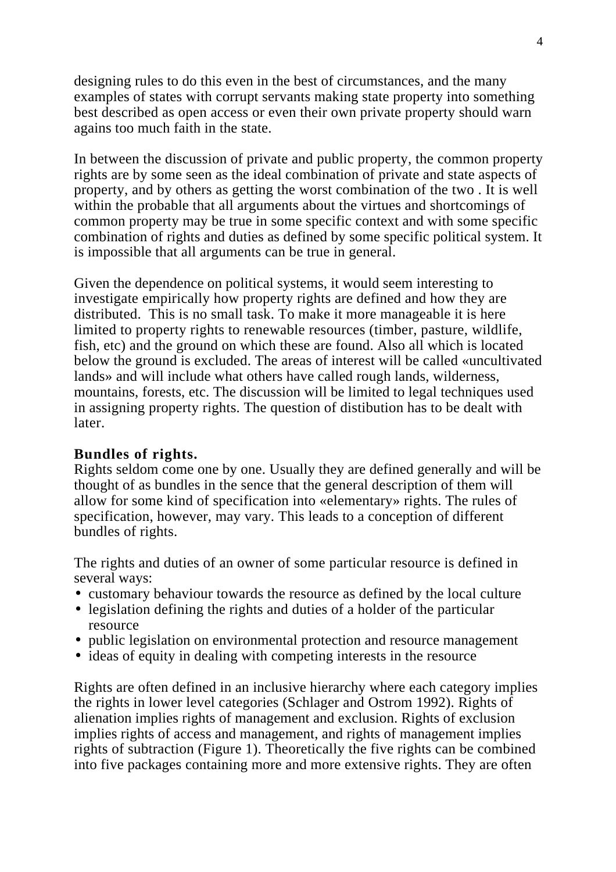designing rules to do this even in the best of circumstances, and the many examples of states with corrupt servants making state property into something best described as open access or even their own private property should warn agains too much faith in the state.

In between the discussion of private and public property, the common property rights are by some seen as the ideal combination of private and state aspects of property, and by others as getting the worst combination of the two . It is well within the probable that all arguments about the virtues and shortcomings of common property may be true in some specific context and with some specific combination of rights and duties as defined by some specific political system. It is impossible that all arguments can be true in general.

Given the dependence on political systems, it would seem interesting to investigate empirically how property rights are defined and how they are distributed. This is no small task. To make it more manageable it is here limited to property rights to renewable resources (timber, pasture, wildlife, fish, etc) and the ground on which these are found. Also all which is located below the ground is excluded. The areas of interest will be called «uncultivated lands» and will include what others have called rough lands, wilderness, mountains, forests, etc. The discussion will be limited to legal techniques used in assigning property rights. The question of distibution has to be dealt with later.

#### **Bundles of rights.**

Rights seldom come one by one. Usually they are defined generally and will be thought of as bundles in the sence that the general description of them will allow for some kind of specification into «elementary» rights. The rules of specification, however, may vary. This leads to a conception of different bundles of rights.

The rights and duties of an owner of some particular resource is defined in several ways:

- customary behaviour towards the resource as defined by the local culture
- legislation defining the rights and duties of a holder of the particular resource
- public legislation on environmental protection and resource management
- ideas of equity in dealing with competing interests in the resource

Rights are often defined in an inclusive hierarchy where each category implies the rights in lower level categories (Schlager and Ostrom 1992). Rights of alienation implies rights of management and exclusion. Rights of exclusion implies rights of access and management, and rights of management implies rights of subtraction (Figure 1). Theoretically the five rights can be combined into five packages containing more and more extensive rights. They are often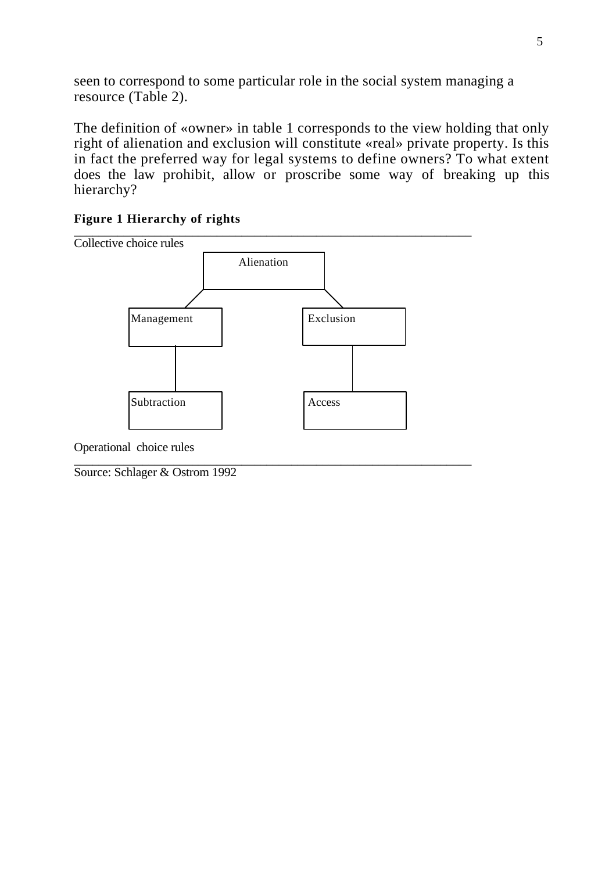seen to correspond to some particular role in the social system managing a resource (Table 2).

The definition of «owner» in table 1 corresponds to the view holding that only right of alienation and exclusion will constitute «real» private property. Is this in fact the preferred way for legal systems to define owners? To what extent does the law prohibit, allow or proscribe some way of breaking up this hierarchy?

#### **Figure 1 Hierarchy of rights** \_\_\_\_\_\_\_\_\_\_\_\_\_\_\_\_\_\_\_\_\_\_\_\_\_\_\_\_\_\_\_\_\_\_\_\_\_\_\_\_\_\_\_\_\_\_\_\_\_\_\_\_\_\_\_\_\_\_\_\_\_\_\_\_



Operational choice rules

\_\_\_\_\_\_\_\_\_\_\_\_\_\_\_\_\_\_\_\_\_\_\_\_\_\_\_\_\_\_\_\_\_\_\_\_\_\_\_\_\_\_\_\_\_\_\_\_\_\_\_\_\_\_\_\_\_\_\_\_\_\_\_\_ Source: Schlager & Ostrom 1992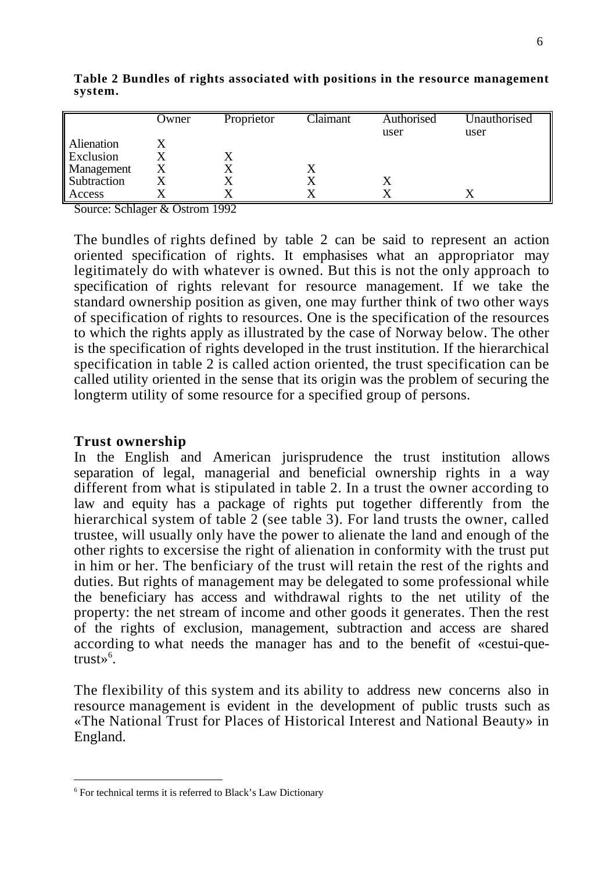|             | Owner | Proprietor | Claimant | Authorised | Unauthorised |
|-------------|-------|------------|----------|------------|--------------|
|             |       |            |          | user       | user         |
| Alienation  |       |            |          |            |              |
| Exclusion   |       |            |          |            |              |
| Management  |       |            |          |            |              |
| Subtraction |       |            |          |            |              |
| Access      |       |            |          |            |              |

**Table 2 Bundles of rights associated with positions in the resource management system.**

Source: Schlager & Ostrom 1992

The bundles of rights defined by table 2 can be said to represent an action oriented specification of rights. It emphasises what an appropriator may legitimately do with whatever is owned. But this is not the only approach to specification of rights relevant for resource management. If we take the standard ownership position as given, one may further think of two other ways of specification of rights to resources. One is the specification of the resources to which the rights apply as illustrated by the case of Norway below. The other is the specification of rights developed in the trust institution. If the hierarchical specification in table 2 is called action oriented, the trust specification can be called utility oriented in the sense that its origin was the problem of securing the longterm utility of some resource for a specified group of persons.

#### **Trust ownership**

 $\overline{a}$ 

In the English and American jurisprudence the trust institution allows separation of legal, managerial and beneficial ownership rights in a way different from what is stipulated in table 2. In a trust the owner according to law and equity has a package of rights put together differently from the hierarchical system of table 2 (see table 3). For land trusts the owner, called trustee, will usually only have the power to alienate the land and enough of the other rights to excersise the right of alienation in conformity with the trust put in him or her. The benficiary of the trust will retain the rest of the rights and duties. But rights of management may be delegated to some professional while the beneficiary has access and withdrawal rights to the net utility of the property: the net stream of income and other goods it generates. Then the rest of the rights of exclusion, management, subtraction and access are shared according to what needs the manager has and to the benefit of «cestui-quetrust» $\mathfrak{s}$ .

The flexibility of this system and its ability to address new concerns also in resource management is evident in the development of public trusts such as «The National Trust for Places of Historical Interest and National Beauty» in England.

<sup>&</sup>lt;sup>6</sup> For technical terms it is referred to Black's Law Dictionary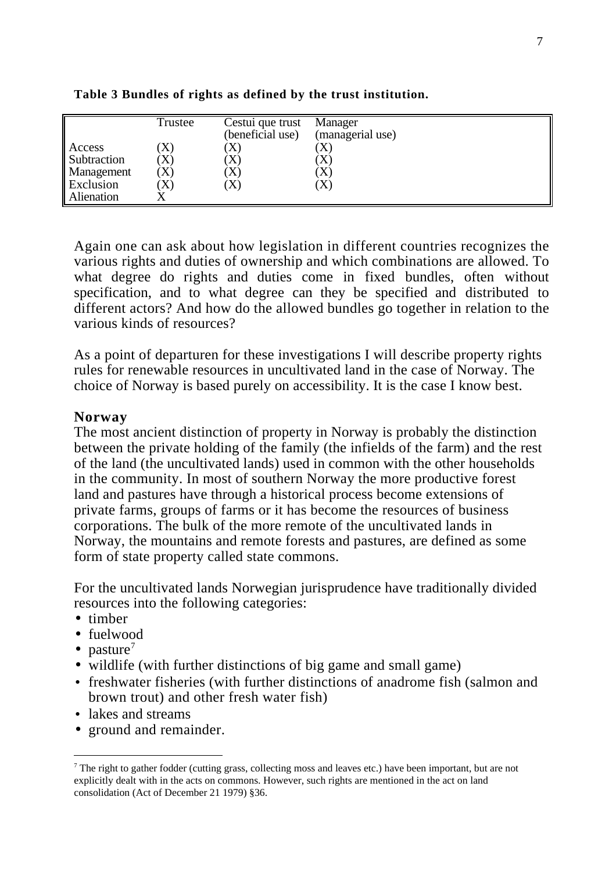|                                                  | Trustee                                 | Cestui que trust<br>(beneficial use) | Manager<br>(managerial use)        |
|--------------------------------------------------|-----------------------------------------|--------------------------------------|------------------------------------|
| Access<br>Subtraction<br>Management<br>Exclusion | $\Lambda'$<br>$\mathbf{A}$<br>$\Lambda$ | (X)<br>X)<br>X)<br>X)                | $\Lambda$<br>X)<br>$\Lambda$<br>X) |
| Alienation                                       |                                         |                                      |                                    |

**Table 3 Bundles of rights as defined by the trust institution.**

Again one can ask about how legislation in different countries recognizes the various rights and duties of ownership and which combinations are allowed. To what degree do rights and duties come in fixed bundles, often without specification, and to what degree can they be specified and distributed to different actors? And how do the allowed bundles go together in relation to the various kinds of resources?

As a point of departuren for these investigations I will describe property rights rules for renewable resources in uncultivated land in the case of Norway. The choice of Norway is based purely on accessibility. It is the case I know best.

#### **Norway**

The most ancient distinction of property in Norway is probably the distinction between the private holding of the family (the infields of the farm) and the rest of the land (the uncultivated lands) used in common with the other households in the community. In most of southern Norway the more productive forest land and pastures have through a historical process become extensions of private farms, groups of farms or it has become the resources of business corporations. The bulk of the more remote of the uncultivated lands in Norway, the mountains and remote forests and pastures, are defined as some form of state property called state commons.

For the uncultivated lands Norwegian jurisprudence have traditionally divided resources into the following categories:

- timber
- fuelwood
- pasture<sup>7</sup>

 $\overline{a}$ 

- wildlife (with further distinctions of big game and small game)
- freshwater fisheries (with further distinctions of anadrome fish (salmon and brown trout) and other fresh water fish)
- lakes and streams
- ground and remainder.

 $<sup>7</sup>$  The right to gather fodder (cutting grass, collecting moss and leaves etc.) have been important, but are not</sup> explicitly dealt with in the acts on commons. However, such rights are mentioned in the act on land consolidation (Act of December 21 1979) §36.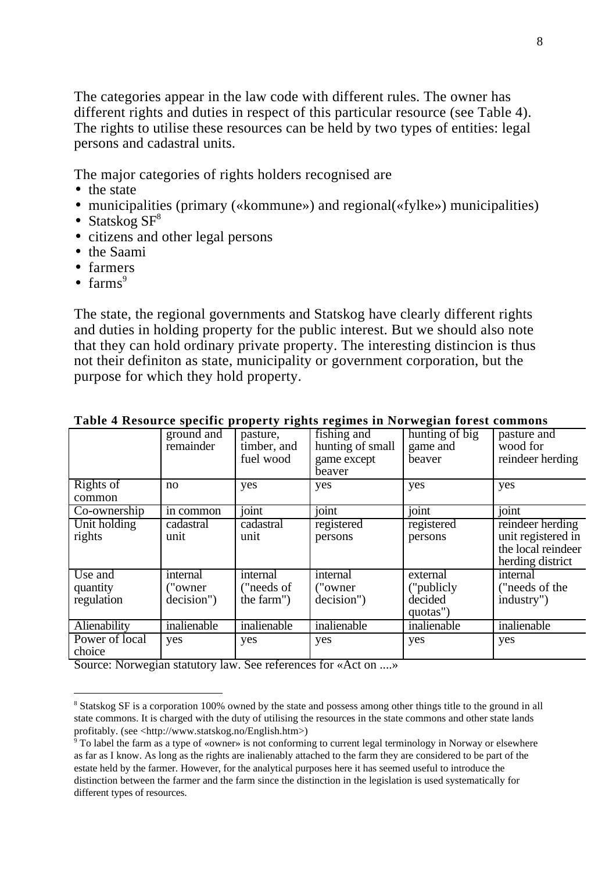The categories appear in the law code with different rules. The owner has different rights and duties in respect of this particular resource (see Table 4). The rights to utilise these resources can be held by two types of entities: legal persons and cadastral units.

The major categories of rights holders recognised are

- the state
- municipalities (primary («kommune») and regional(«fylke») municipalities)
- Statskog  $SF^8$
- citizens and other legal persons
- the Saami
- farmers
- farms $<sup>9</sup>$ </sup>

 $\overline{a}$ 

The state, the regional governments and Statskog have clearly different rights and duties in holding property for the public interest. But we should also note that they can hold ordinary private property. The interesting distincion is thus not their definiton as state, municipality or government corporation, but the purpose for which they hold property.

|                                   | ground and<br>remainder             | pasture,<br>timber, and<br>fuel wood | fishing and<br>hunting of small<br>game except<br>beaver | hunting of big<br>game and<br>beaver          | pasture and<br>wood for<br>reindeer herding                                      |
|-----------------------------------|-------------------------------------|--------------------------------------|----------------------------------------------------------|-----------------------------------------------|----------------------------------------------------------------------------------|
| Rights of<br>common               | no                                  | yes                                  | yes                                                      | yes                                           | yes                                                                              |
| Co-ownership                      | in common                           | joint                                | joint                                                    | joint                                         | joint                                                                            |
| Unit holding<br>rights            | cadastral<br>unit                   | cadastral<br>unit                    | registered<br>persons                                    | registered<br>persons                         | reindeer herding<br>unit registered in<br>the local reindeer<br>herding district |
| Use and<br>quantity<br>regulation | internal<br>("owner")<br>decision") | internal<br>("needs of<br>the farm") | internal<br>("owner")<br>decision")                      | external<br>("publicly<br>decided<br>quotas") | internal<br>("needs of the<br>industry")                                         |
| Alienability                      | inalienable                         | inalienable                          | inalienable                                              | inalienable                                   | inalienable                                                                      |
| Power of local<br>choice          | yes                                 | yes                                  | yes                                                      | yes                                           | yes                                                                              |

#### **Table 4 Resource specific property rights regimes in Norwegian forest commons**

Source: Norwegian statutory law. See references for «Act on ....»

<sup>&</sup>lt;sup>8</sup> Statskog SF is a corporation 100% owned by the state and possess among other things title to the ground in all state commons. It is charged with the duty of utilising the resources in the state commons and other state lands profitably. (see <http://www.statskog.no/English.htm>)

<sup>&</sup>lt;sup>9</sup> To label the farm as a type of «owner» is not conforming to current legal terminology in Norway or elsewhere as far as I know. As long as the rights are inalienably attached to the farm they are considered to be part of the estate held by the farmer. However, for the analytical purposes here it has seemed useful to introduce the distinction between the farmer and the farm since the distinction in the legislation is used systematically for different types of resources.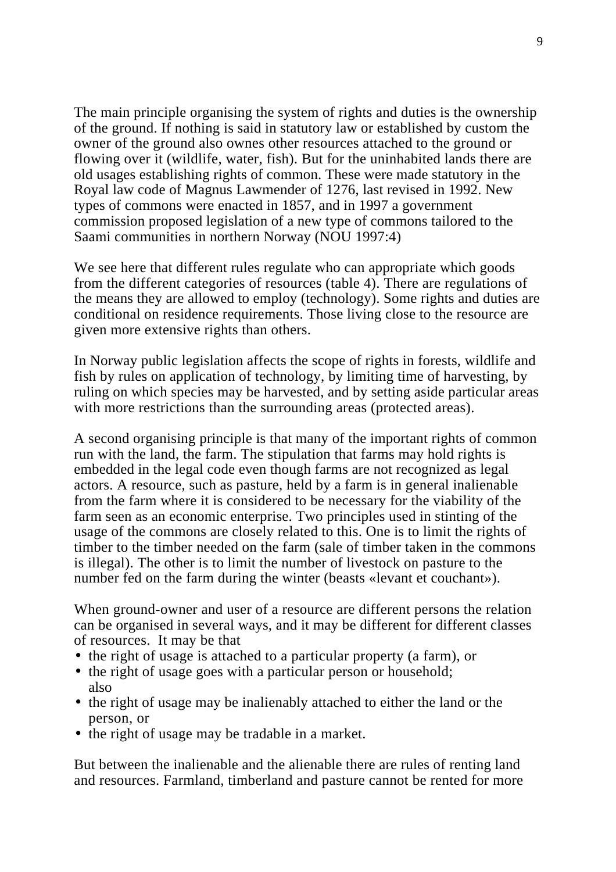The main principle organising the system of rights and duties is the ownership of the ground. If nothing is said in statutory law or established by custom the owner of the ground also ownes other resources attached to the ground or flowing over it (wildlife, water, fish). But for the uninhabited lands there are old usages establishing rights of common. These were made statutory in the Royal law code of Magnus Lawmender of 1276, last revised in 1992. New types of commons were enacted in 1857, and in 1997 a government commission proposed legislation of a new type of commons tailored to the Saami communities in northern Norway (NOU 1997:4)

We see here that different rules regulate who can appropriate which goods from the different categories of resources (table 4). There are regulations of the means they are allowed to employ (technology). Some rights and duties are conditional on residence requirements. Those living close to the resource are given more extensive rights than others.

In Norway public legislation affects the scope of rights in forests, wildlife and fish by rules on application of technology, by limiting time of harvesting, by ruling on which species may be harvested, and by setting aside particular areas with more restrictions than the surrounding areas (protected areas).

A second organising principle is that many of the important rights of common run with the land, the farm. The stipulation that farms may hold rights is embedded in the legal code even though farms are not recognized as legal actors. A resource, such as pasture, held by a farm is in general inalienable from the farm where it is considered to be necessary for the viability of the farm seen as an economic enterprise. Two principles used in stinting of the usage of the commons are closely related to this. One is to limit the rights of timber to the timber needed on the farm (sale of timber taken in the commons is illegal). The other is to limit the number of livestock on pasture to the number fed on the farm during the winter (beasts «levant et couchant»).

When ground-owner and user of a resource are different persons the relation can be organised in several ways, and it may be different for different classes of resources. It may be that

- the right of usage is attached to a particular property (a farm), or
- the right of usage goes with a particular person or household; also
- the right of usage may be inalienably attached to either the land or the person, or
- the right of usage may be tradable in a market.

But between the inalienable and the alienable there are rules of renting land and resources. Farmland, timberland and pasture cannot be rented for more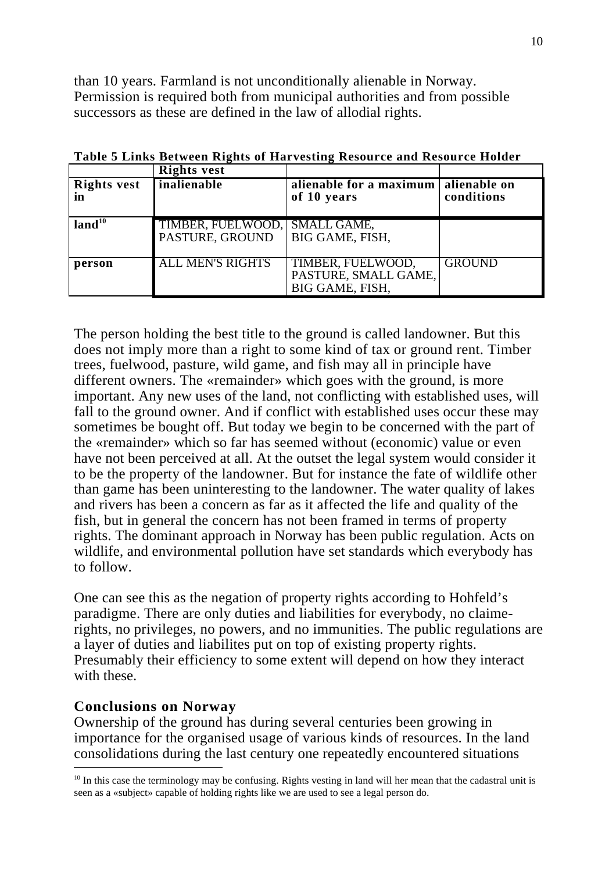than 10 years. Farmland is not unconditionally alienable in Norway. Permission is required both from municipal authorities and from possible successors as these are defined in the law of allodial rights.

|                          | <b>Rights vest</b>                               |                                                              |                                    |
|--------------------------|--------------------------------------------------|--------------------------------------------------------------|------------------------------------|
| <b>Rights vest</b><br>in | inalienable                                      | alienable for a maximum<br>of 10 years                       | <b>Talienable</b> on<br>conditions |
| land <sup>10</sup>       | TIMBER, FUELWOOD, SMALL GAME,<br>PASTURE, GROUND | BIG GAME, FISH,                                              |                                    |
| person                   | <b>ALL MEN'S RIGHTS</b>                          | TIMBER, FUELWOOD,<br>PASTURE, SMALL GAME,<br>BIG GAME, FISH, | <b>GROUND</b>                      |

**Table 5 Links Between Rights of Harvesting Resource and Resource Holder**

The person holding the best title to the ground is called landowner. But this does not imply more than a right to some kind of tax or ground rent. Timber trees, fuelwood, pasture, wild game, and fish may all in principle have different owners. The «remainder» which goes with the ground, is more important. Any new uses of the land, not conflicting with established uses, will fall to the ground owner. And if conflict with established uses occur these may sometimes be bought off. But today we begin to be concerned with the part of the «remainder» which so far has seemed without (economic) value or even have not been perceived at all. At the outset the legal system would consider it to be the property of the landowner. But for instance the fate of wildlife other than game has been uninteresting to the landowner. The water quality of lakes and rivers has been a concern as far as it affected the life and quality of the fish, but in general the concern has not been framed in terms of property rights. The dominant approach in Norway has been public regulation. Acts on wildlife, and environmental pollution have set standards which everybody has to follow.

One can see this as the negation of property rights according to Hohfeld's paradigme. There are only duties and liabilities for everybody, no claimerights, no privileges, no powers, and no immunities. The public regulations are a layer of duties and liabilites put on top of existing property rights. Presumably their efficiency to some extent will depend on how they interact with these.

# **Conclusions on Norway**

Ownership of the ground has during several centuries been growing in importance for the organised usage of various kinds of resources. In the land consolidations during the last century one repeatedly encountered situations  $\overline{a}$ 

<sup>&</sup>lt;sup>10</sup> In this case the terminology may be confusing. Rights vesting in land will her mean that the cadastral unit is seen as a «subject» capable of holding rights like we are used to see a legal person do.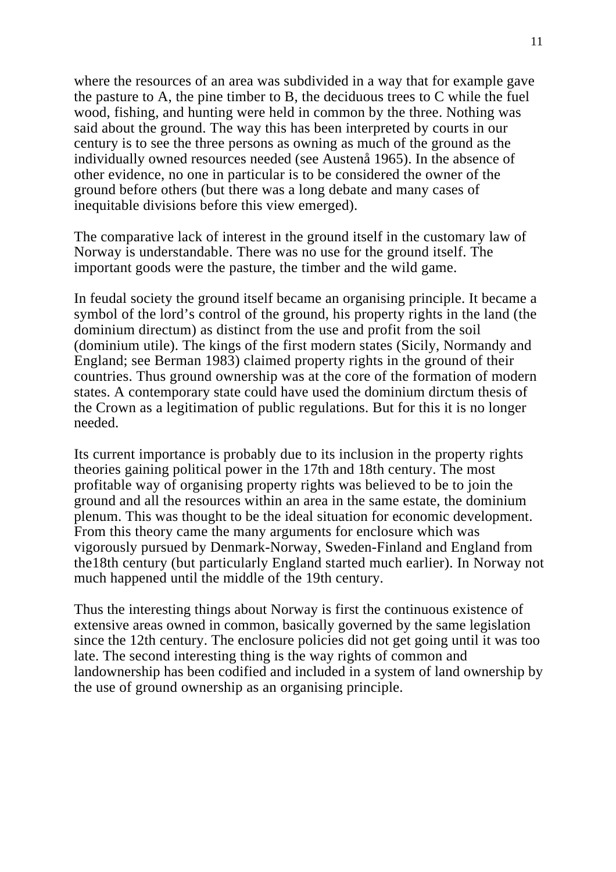where the resources of an area was subdivided in a way that for example gave the pasture to A, the pine timber to B, the deciduous trees to C while the fuel wood, fishing, and hunting were held in common by the three. Nothing was said about the ground. The way this has been interpreted by courts in our century is to see the three persons as owning as much of the ground as the individually owned resources needed (see Austenå 1965). In the absence of other evidence, no one in particular is to be considered the owner of the ground before others (but there was a long debate and many cases of inequitable divisions before this view emerged).

The comparative lack of interest in the ground itself in the customary law of Norway is understandable. There was no use for the ground itself. The important goods were the pasture, the timber and the wild game.

In feudal society the ground itself became an organising principle. It became a symbol of the lord's control of the ground, his property rights in the land (the dominium directum) as distinct from the use and profit from the soil (dominium utile). The kings of the first modern states (Sicily, Normandy and England; see Berman 1983) claimed property rights in the ground of their countries. Thus ground ownership was at the core of the formation of modern states. A contemporary state could have used the dominium dirctum thesis of the Crown as a legitimation of public regulations. But for this it is no longer needed.

Its current importance is probably due to its inclusion in the property rights theories gaining political power in the 17th and 18th century. The most profitable way of organising property rights was believed to be to join the ground and all the resources within an area in the same estate, the dominium plenum. This was thought to be the ideal situation for economic development. From this theory came the many arguments for enclosure which was vigorously pursued by Denmark-Norway, Sweden-Finland and England from the18th century (but particularly England started much earlier). In Norway not much happened until the middle of the 19th century.

Thus the interesting things about Norway is first the continuous existence of extensive areas owned in common, basically governed by the same legislation since the 12th century. The enclosure policies did not get going until it was too late. The second interesting thing is the way rights of common and landownership has been codified and included in a system of land ownership by the use of ground ownership as an organising principle.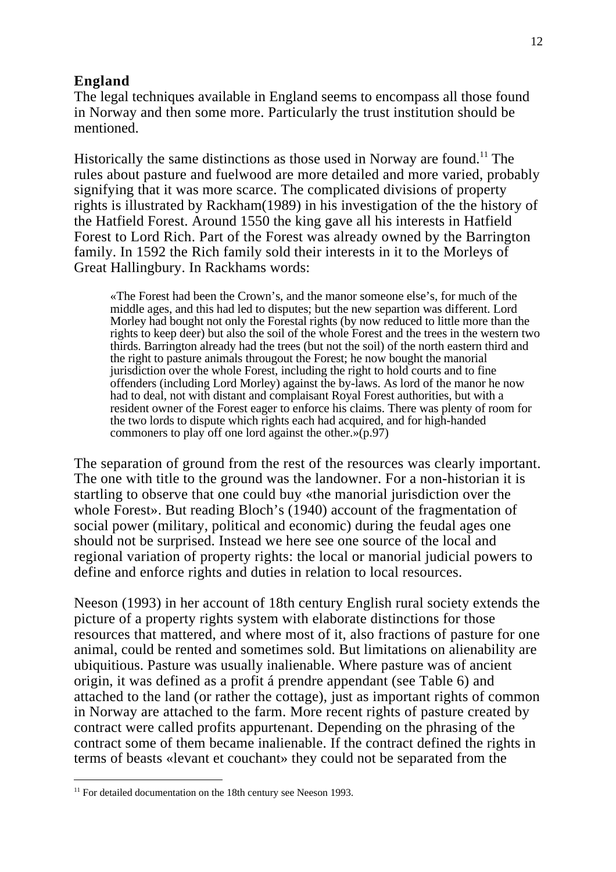#### **England**

The legal techniques available in England seems to encompass all those found in Norway and then some more. Particularly the trust institution should be mentioned.

Historically the same distinctions as those used in Norway are found.<sup>11</sup> The rules about pasture and fuelwood are more detailed and more varied, probably signifying that it was more scarce. The complicated divisions of property rights is illustrated by Rackham(1989) in his investigation of the the history of the Hatfield Forest. Around 1550 the king gave all his interests in Hatfield Forest to Lord Rich. Part of the Forest was already owned by the Barrington family. In 1592 the Rich family sold their interests in it to the Morleys of Great Hallingbury. In Rackhams words:

«The Forest had been the Crown's, and the manor someone else's, for much of the middle ages, and this had led to disputes; but the new separtion was different. Lord Morley had bought not only the Forestal rights (by now reduced to little more than the rights to keep deer) but also the soil of the whole Forest and the trees in the western two thirds. Barrington already had the trees (but not the soil) of the north eastern third and the right to pasture animals througout the Forest; he now bought the manorial jurisdiction over the whole Forest, including the right to hold courts and to fine offenders (including Lord Morley) against the by-laws. As lord of the manor he now had to deal, not with distant and complaisant Royal Forest authorities, but with a resident owner of the Forest eager to enforce his claims. There was plenty of room for the two lords to dispute which rights each had acquired, and for high-handed commoners to play off one lord against the other.»(p.97)

The separation of ground from the rest of the resources was clearly important. The one with title to the ground was the landowner. For a non-historian it is startling to observe that one could buy «the manorial jurisdiction over the whole Forest». But reading Bloch's (1940) account of the fragmentation of social power (military, political and economic) during the feudal ages one should not be surprised. Instead we here see one source of the local and regional variation of property rights: the local or manorial judicial powers to define and enforce rights and duties in relation to local resources.

Neeson (1993) in her account of 18th century English rural society extends the picture of a property rights system with elaborate distinctions for those resources that mattered, and where most of it, also fractions of pasture for one animal, could be rented and sometimes sold. But limitations on alienability are ubiquitious. Pasture was usually inalienable. Where pasture was of ancient origin, it was defined as a profit á prendre appendant (see Table 6) and attached to the land (or rather the cottage), just as important rights of common in Norway are attached to the farm. More recent rights of pasture created by contract were called profits appurtenant. Depending on the phrasing of the contract some of them became inalienable. If the contract defined the rights in terms of beasts «levant et couchant» they could not be separated from the

 $\overline{a}$ 

<sup>&</sup>lt;sup>11</sup> For detailed documentation on the 18th century see Neeson 1993.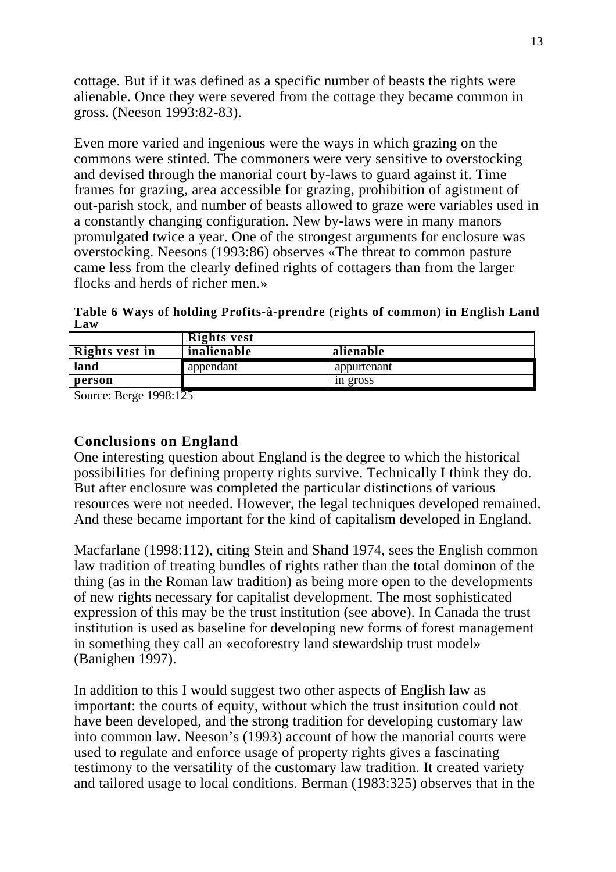cottage. But if it was defined as a specific number of beasts the rights were alienable. Once they were severed from the cottage they became common in gross. (Neeson 1993:82-83).

Even more varied and ingenious were the ways in which grazing on the commons were stinted. The commoners were very sensitive to overstocking and devised through the manorial court by-laws to guard against it. Time frames for grazing, area accessible for grazing, prohibition of agistment of out-parish stock, and number of beasts allowed to graze were variables used in a constantly changing configuration. New by-laws were in many manors promulgated twice a year. One of the strongest arguments for enclosure was overstocking. Neesons (1993:86) observes «The threat to common pasture came less from the clearly defined rights of cottagers than from the larger flocks and herds of richer men.»

**Table 6 Ways of holding Profits-à-prendre (rights of common) in English Land Law**

|                | <b>Rights vest</b> |             |
|----------------|--------------------|-------------|
| Rights vest in | inalienable        | alienable   |
| land           | appendant          | appurtenant |
| person         |                    | in gross    |
| .              |                    |             |

Source: Berge 1998:125

### **Conclusions on England**

One interesting question about England is the degree to which the historical possibilities for defining property rights survive. Technically I think they do. But after enclosure was completed the particular distinctions of various resources were not needed. However, the legal techniques developed remained. And these became important for the kind of capitalism developed in England.

Macfarlane (1998:112), citing Stein and Shand 1974, sees the English common law tradition of treating bundles of rights rather than the total dominon of the thing (as in the Roman law tradition) as being more open to the developments of new rights necessary for capitalist development. The most sophisticated expression of this may be the trust institution (see above). In Canada the trust institution is used as baseline for developing new forms of forest management in something they call an «ecoforestry land stewardship trust model» (Banighen 1997).

In addition to this I would suggest two other aspects of English law as important: the courts of equity, without which the trust insitution could not have been developed, and the strong tradition for developing customary law into common law. Neeson's (1993) account of how the manorial courts were used to regulate and enforce usage of property rights gives a fascinating testimony to the versatility of the customary law tradition. It created variety and tailored usage to local conditions. Berman (1983:325) observes that in the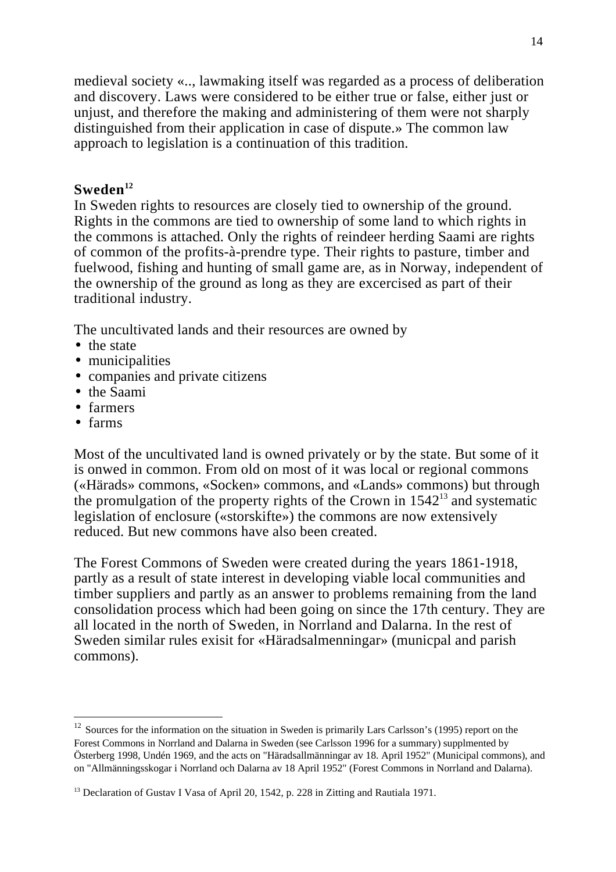medieval society «.., lawmaking itself was regarded as a process of deliberation and discovery. Laws were considered to be either true or false, either just or unjust, and therefore the making and administering of them were not sharply distinguished from their application in case of dispute.» The common law approach to legislation is a continuation of this tradition.

## **Sweden<sup>12</sup>**

In Sweden rights to resources are closely tied to ownership of the ground. Rights in the commons are tied to ownership of some land to which rights in the commons is attached. Only the rights of reindeer herding Saami are rights of common of the profits-à-prendre type. Their rights to pasture, timber and fuelwood, fishing and hunting of small game are, as in Norway, independent of the ownership of the ground as long as they are excercised as part of their traditional industry.

The uncultivated lands and their resources are owned by

- the state
- municipalities
- companies and private citizens
- the Saami
- farmers
- farms

 $\overline{a}$ 

Most of the uncultivated land is owned privately or by the state. But some of it is onwed in common. From old on most of it was local or regional commons («Härads» commons, «Socken» commons, and «Lands» commons) but through the promulgation of the property rights of the Crown in  $1542<sup>13</sup>$  and systematic legislation of enclosure («storskifte») the commons are now extensively reduced. But new commons have also been created.

The Forest Commons of Sweden were created during the years 1861-1918, partly as a result of state interest in developing viable local communities and timber suppliers and partly as an answer to problems remaining from the land consolidation process which had been going on since the 17th century. They are all located in the north of Sweden, in Norrland and Dalarna. In the rest of Sweden similar rules exisit for «Häradsalmenningar» (municpal and parish commons).

<sup>&</sup>lt;sup>12</sup> Sources for the information on the situation in Sweden is primarily Lars Carlsson's (1995) report on the Forest Commons in Norrland and Dalarna in Sweden (see Carlsson 1996 for a summary) supplmented by Österberg 1998, Undén 1969, and the acts on "Häradsallmänningar av 18. April 1952" (Municipal commons), and on "Allmänningsskogar i Norrland och Dalarna av 18 April 1952" (Forest Commons in Norrland and Dalarna).

<sup>&</sup>lt;sup>13</sup> Declaration of Gustav I Vasa of April 20, 1542, p. 228 in Zitting and Rautiala 1971.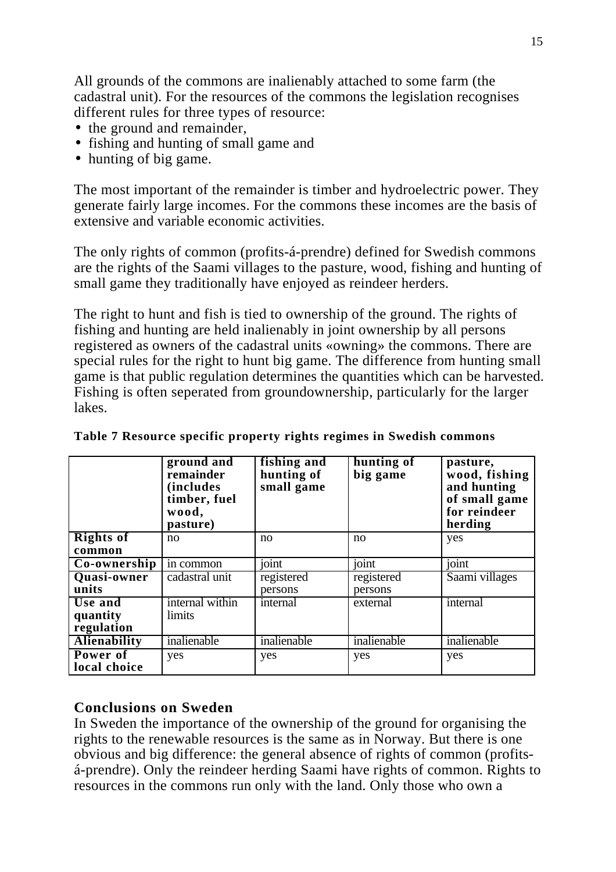All grounds of the commons are inalienably attached to some farm (the cadastral unit). For the resources of the commons the legislation recognises different rules for three types of resource:

- the ground and remainder,
- fishing and hunting of small game and
- hunting of big game.

The most important of the remainder is timber and hydroelectric power. They generate fairly large incomes. For the commons these incomes are the basis of extensive and variable economic activities.

The only rights of common (profits-á-prendre) defined for Swedish commons are the rights of the Saami villages to the pasture, wood, fishing and hunting of small game they traditionally have enjoyed as reindeer herders.

The right to hunt and fish is tied to ownership of the ground. The rights of fishing and hunting are held inalienably in joint ownership by all persons registered as owners of the cadastral units «owning» the commons. There are special rules for the right to hunt big game. The difference from hunting small game is that public regulation determines the quantities which can be harvested. Fishing is often seperated from groundownership, particularly for the larger lakes.

|                     | ground and<br>remainder<br><i>(includes)</i><br>timber, fuel<br>wood,<br>pasture) | fishing and<br>hunting of<br>small game | hunting of<br>big game | pasture,<br>wood, fishing<br>and hunting<br>of small game<br>for reindeer<br>herding |
|---------------------|-----------------------------------------------------------------------------------|-----------------------------------------|------------------------|--------------------------------------------------------------------------------------|
| <b>Rights of</b>    | no                                                                                | no                                      | no                     | yes                                                                                  |
| common              |                                                                                   |                                         |                        |                                                                                      |
| $Co-ownership$      | in common                                                                         | joint                                   | joint                  | joint                                                                                |
| Quasi-owner         | cadastral unit                                                                    | registered                              | registered             | Saami villages                                                                       |
| units               |                                                                                   | persons                                 | persons                |                                                                                      |
| Use and             | internal within                                                                   | internal                                | external               | internal                                                                             |
| quantity            | limits                                                                            |                                         |                        |                                                                                      |
| regulation          |                                                                                   |                                         |                        |                                                                                      |
| <b>Alienability</b> | inalienable                                                                       | inalienable                             | inalienable            | inalienable                                                                          |
| Power of            | yes                                                                               | yes                                     | yes                    | yes                                                                                  |
| local choice        |                                                                                   |                                         |                        |                                                                                      |

| Table 7 Resource specific property rights regimes in Swedish commons |  |  |  |  |
|----------------------------------------------------------------------|--|--|--|--|
|                                                                      |  |  |  |  |

## **Conclusions on Sweden**

In Sweden the importance of the ownership of the ground for organising the rights to the renewable resources is the same as in Norway. But there is one obvious and big difference: the general absence of rights of common (profitsá-prendre). Only the reindeer herding Saami have rights of common. Rights to resources in the commons run only with the land. Only those who own a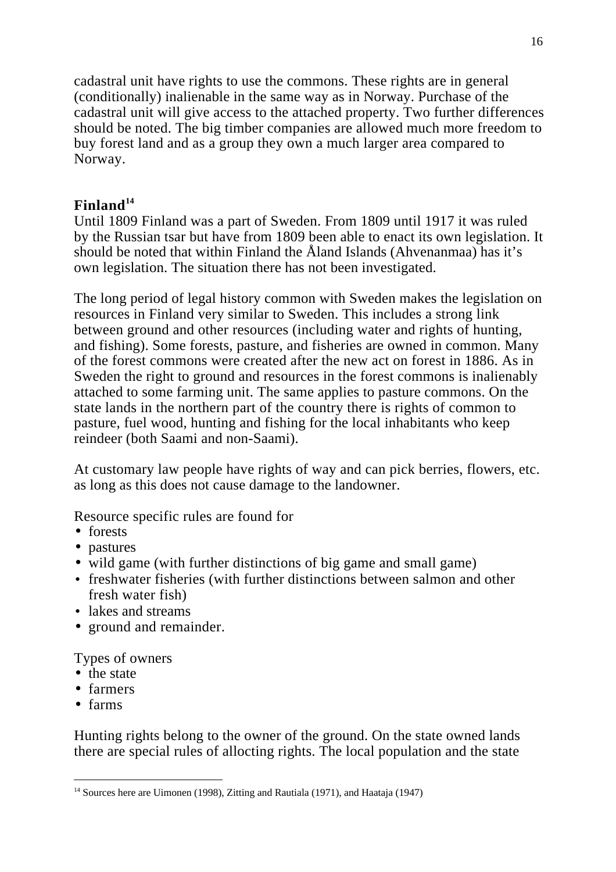cadastral unit have rights to use the commons. These rights are in general (conditionally) inalienable in the same way as in Norway. Purchase of the cadastral unit will give access to the attached property. Two further differences should be noted. The big timber companies are allowed much more freedom to buy forest land and as a group they own a much larger area compared to Norway.

# **Finland<sup>14</sup>**

Until 1809 Finland was a part of Sweden. From 1809 until 1917 it was ruled by the Russian tsar but have from 1809 been able to enact its own legislation. It should be noted that within Finland the Åland Islands (Ahvenanmaa) has it's own legislation. The situation there has not been investigated.

The long period of legal history common with Sweden makes the legislation on resources in Finland very similar to Sweden. This includes a strong link between ground and other resources (including water and rights of hunting, and fishing). Some forests, pasture, and fisheries are owned in common. Many of the forest commons were created after the new act on forest in 1886. As in Sweden the right to ground and resources in the forest commons is inalienably attached to some farming unit. The same applies to pasture commons. On the state lands in the northern part of the country there is rights of common to pasture, fuel wood, hunting and fishing for the local inhabitants who keep reindeer (both Saami and non-Saami).

At customary law people have rights of way and can pick berries, flowers, etc. as long as this does not cause damage to the landowner.

Resource specific rules are found for

- forests
- pastures
- wild game (with further distinctions of big game and small game)
- freshwater fisheries (with further distinctions between salmon and other fresh water fish)
- lakes and streams
- ground and remainder.

Types of owners

- the state
- farmers
- farms

 $\overline{a}$ 

Hunting rights belong to the owner of the ground. On the state owned lands there are special rules of allocting rights. The local population and the state

<sup>&</sup>lt;sup>14</sup> Sources here are Uimonen (1998), Zitting and Rautiala (1971), and Haataja (1947)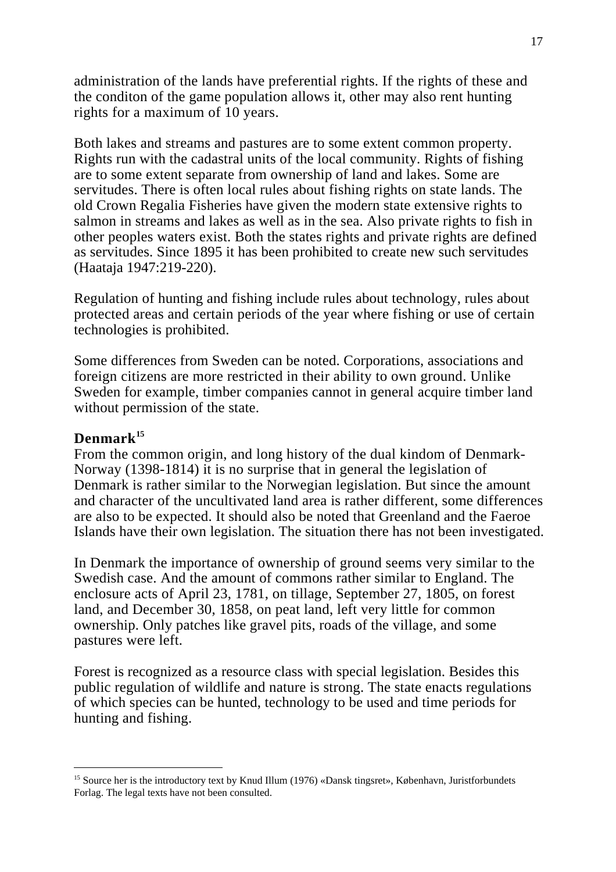administration of the lands have preferential rights. If the rights of these and the conditon of the game population allows it, other may also rent hunting rights for a maximum of 10 years.

Both lakes and streams and pastures are to some extent common property. Rights run with the cadastral units of the local community. Rights of fishing are to some extent separate from ownership of land and lakes. Some are servitudes. There is often local rules about fishing rights on state lands. The old Crown Regalia Fisheries have given the modern state extensive rights to salmon in streams and lakes as well as in the sea. Also private rights to fish in other peoples waters exist. Both the states rights and private rights are defined as servitudes. Since 1895 it has been prohibited to create new such servitudes (Haataja 1947:219-220).

Regulation of hunting and fishing include rules about technology, rules about protected areas and certain periods of the year where fishing or use of certain technologies is prohibited.

Some differences from Sweden can be noted. Corporations, associations and foreign citizens are more restricted in their ability to own ground. Unlike Sweden for example, timber companies cannot in general acquire timber land without permission of the state.

## **Denmark<sup>15</sup>**

 $\overline{a}$ 

From the common origin, and long history of the dual kindom of Denmark-Norway (1398-1814) it is no surprise that in general the legislation of Denmark is rather similar to the Norwegian legislation. But since the amount and character of the uncultivated land area is rather different, some differences are also to be expected. It should also be noted that Greenland and the Faeroe Islands have their own legislation. The situation there has not been investigated.

In Denmark the importance of ownership of ground seems very similar to the Swedish case. And the amount of commons rather similar to England. The enclosure acts of April 23, 1781, on tillage, September 27, 1805, on forest land, and December 30, 1858, on peat land, left very little for common ownership. Only patches like gravel pits, roads of the village, and some pastures were left.

Forest is recognized as a resource class with special legislation. Besides this public regulation of wildlife and nature is strong. The state enacts regulations of which species can be hunted, technology to be used and time periods for hunting and fishing.

<sup>&</sup>lt;sup>15</sup> Source her is the introductory text by Knud Illum (1976) «Dansk tingsret», København, Juristforbundets Forlag. The legal texts have not been consulted.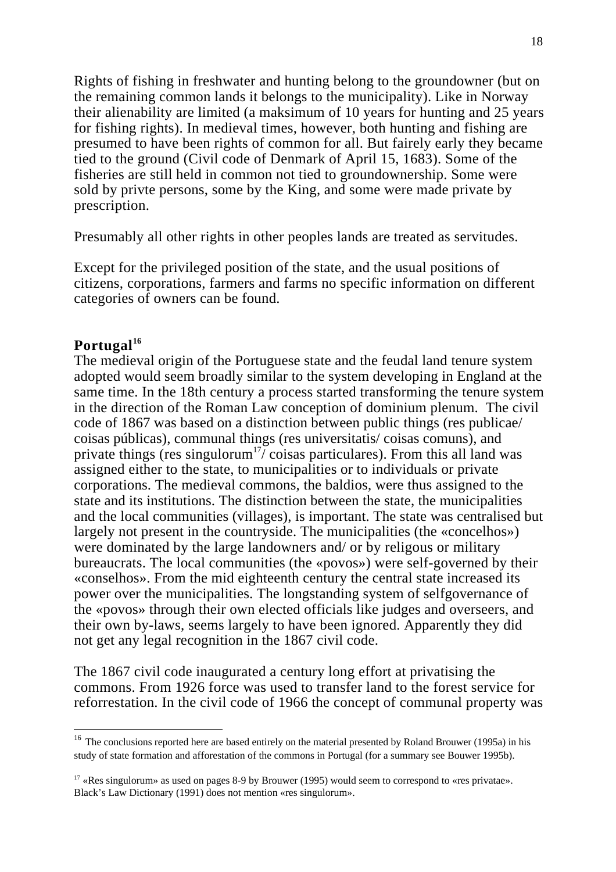Rights of fishing in freshwater and hunting belong to the groundowner (but on the remaining common lands it belongs to the municipality). Like in Norway their alienability are limited (a maksimum of 10 years for hunting and 25 years for fishing rights). In medieval times, however, both hunting and fishing are presumed to have been rights of common for all. But fairely early they became tied to the ground (Civil code of Denmark of April 15, 1683). Some of the fisheries are still held in common not tied to groundownership. Some were sold by privte persons, some by the King, and some were made private by prescription.

Presumably all other rights in other peoples lands are treated as servitudes.

Except for the privileged position of the state, and the usual positions of citizens, corporations, farmers and farms no specific information on different categories of owners can be found.

## **Portugal<sup>16</sup>**

 $\overline{a}$ 

The medieval origin of the Portuguese state and the feudal land tenure system adopted would seem broadly similar to the system developing in England at the same time. In the 18th century a process started transforming the tenure system in the direction of the Roman Law conception of dominium plenum. The civil code of 1867 was based on a distinction between public things (res publicae/ coisas públicas), communal things (res universitatis/ coisas comuns), and private things (res singulorum<sup>17</sup>/ $\overline{c}$  coisas particulares). From this all land was assigned either to the state, to municipalities or to individuals or private corporations. The medieval commons, the baldios, were thus assigned to the state and its institutions. The distinction between the state, the municipalities and the local communities (villages), is important. The state was centralised but largely not present in the countryside. The municipalities (the «concelhos») were dominated by the large landowners and/ or by religous or military bureaucrats. The local communities (the «povos») were self-governed by their «conselhos». From the mid eighteenth century the central state increased its power over the municipalities. The longstanding system of selfgovernance of the «povos» through their own elected officials like judges and overseers, and their own by-laws, seems largely to have been ignored. Apparently they did not get any legal recognition in the 1867 civil code.

The 1867 civil code inaugurated a century long effort at privatising the commons. From 1926 force was used to transfer land to the forest service for reforrestation. In the civil code of 1966 the concept of communal property was

<sup>&</sup>lt;sup>16</sup> The conclusions reported here are based entirely on the material presented by Roland Brouwer (1995a) in his study of state formation and afforestation of the commons in Portugal (for a summary see Bouwer 1995b).

<sup>&</sup>lt;sup>17</sup> «Res singulorum» as used on pages 8-9 by Brouwer (1995) would seem to correspond to «res privatae». Black's Law Dictionary (1991) does not mention «res singulorum».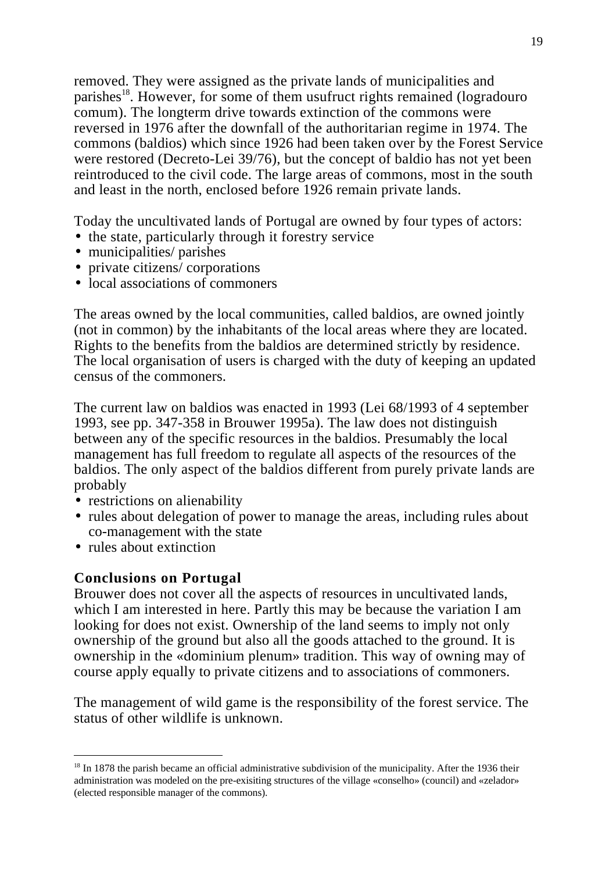19

removed. They were assigned as the private lands of municipalities and parishes<sup>18</sup>. However, for some of them usufruct rights remained (logradouro comum). The longterm drive towards extinction of the commons were reversed in 1976 after the downfall of the authoritarian regime in 1974. The commons (baldios) which since 1926 had been taken over by the Forest Service were restored (Decreto-Lei 39/76), but the concept of baldio has not yet been reintroduced to the civil code. The large areas of commons, most in the south and least in the north, enclosed before 1926 remain private lands.

Today the uncultivated lands of Portugal are owned by four types of actors:

- the state, particularly through it forestry service
- municipalities/ parishes
- private citizens/ corporations
- local associations of commoners

The areas owned by the local communities, called baldios, are owned jointly (not in common) by the inhabitants of the local areas where they are located. Rights to the benefits from the baldios are determined strictly by residence. The local organisation of users is charged with the duty of keeping an updated census of the commoners.

The current law on baldios was enacted in 1993 (Lei 68/1993 of 4 september 1993, see pp. 347-358 in Brouwer 1995a). The law does not distinguish between any of the specific resources in the baldios. Presumably the local management has full freedom to regulate all aspects of the resources of the baldios. The only aspect of the baldios different from purely private lands are probably

- restrictions on alienability
- rules about delegation of power to manage the areas, including rules about co-management with the state
- rules about extinction

 $\overline{a}$ 

# **Conclusions on Portugal**

Brouwer does not cover all the aspects of resources in uncultivated lands, which I am interested in here. Partly this may be because the variation I am looking for does not exist. Ownership of the land seems to imply not only ownership of the ground but also all the goods attached to the ground. It is ownership in the «dominium plenum» tradition. This way of owning may of course apply equally to private citizens and to associations of commoners.

The management of wild game is the responsibility of the forest service. The status of other wildlife is unknown.

<sup>&</sup>lt;sup>18</sup> In 1878 the parish became an official administrative subdivision of the municipality. After the 1936 their administration was modeled on the pre-exisiting structures of the village «conselho» (council) and «zelador» (elected responsible manager of the commons).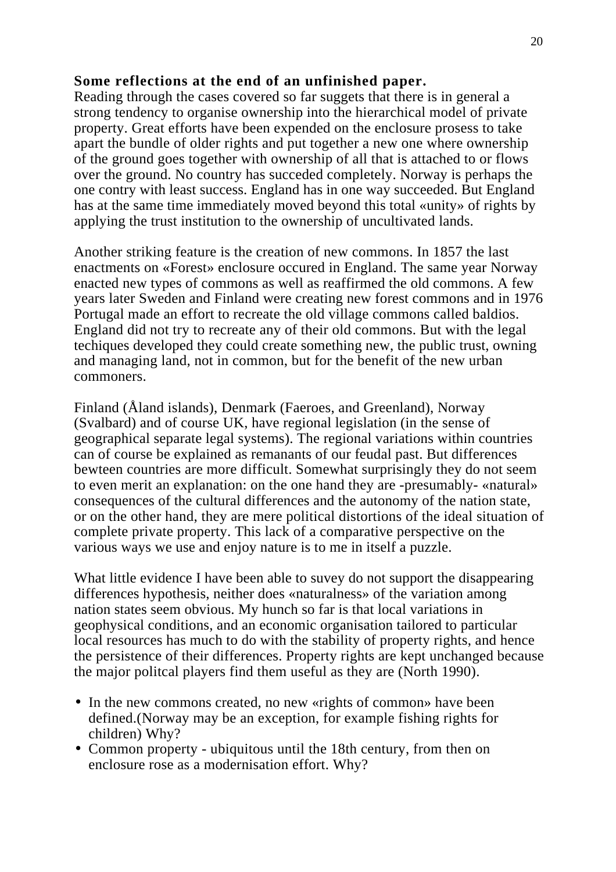#### **Some reflections at the end of an unfinished paper.**

Reading through the cases covered so far suggets that there is in general a strong tendency to organise ownership into the hierarchical model of private property. Great efforts have been expended on the enclosure prosess to take apart the bundle of older rights and put together a new one where ownership of the ground goes together with ownership of all that is attached to or flows over the ground. No country has succeded completely. Norway is perhaps the one contry with least success. England has in one way succeeded. But England has at the same time immediately moved beyond this total «unity» of rights by applying the trust institution to the ownership of uncultivated lands.

Another striking feature is the creation of new commons. In 1857 the last enactments on «Forest» enclosure occured in England. The same year Norway enacted new types of commons as well as reaffirmed the old commons. A few years later Sweden and Finland were creating new forest commons and in 1976 Portugal made an effort to recreate the old village commons called baldios. England did not try to recreate any of their old commons. But with the legal techiques developed they could create something new, the public trust, owning and managing land, not in common, but for the benefit of the new urban commoners.

Finland (Åland islands), Denmark (Faeroes, and Greenland), Norway (Svalbard) and of course UK, have regional legislation (in the sense of geographical separate legal systems). The regional variations within countries can of course be explained as remanants of our feudal past. But differences bewteen countries are more difficult. Somewhat surprisingly they do not seem to even merit an explanation: on the one hand they are -presumably- «natural» consequences of the cultural differences and the autonomy of the nation state, or on the other hand, they are mere political distortions of the ideal situation of complete private property. This lack of a comparative perspective on the various ways we use and enjoy nature is to me in itself a puzzle.

What little evidence I have been able to suvey do not support the disappearing differences hypothesis, neither does «naturalness» of the variation among nation states seem obvious. My hunch so far is that local variations in geophysical conditions, and an economic organisation tailored to particular local resources has much to do with the stability of property rights, and hence the persistence of their differences. Property rights are kept unchanged because the major politcal players find them useful as they are (North 1990).

- In the new commons created, no new «rights of common» have been defined.(Norway may be an exception, for example fishing rights for children) Why?
- Common property ubiquitous until the 18th century, from then on enclosure rose as a modernisation effort. Why?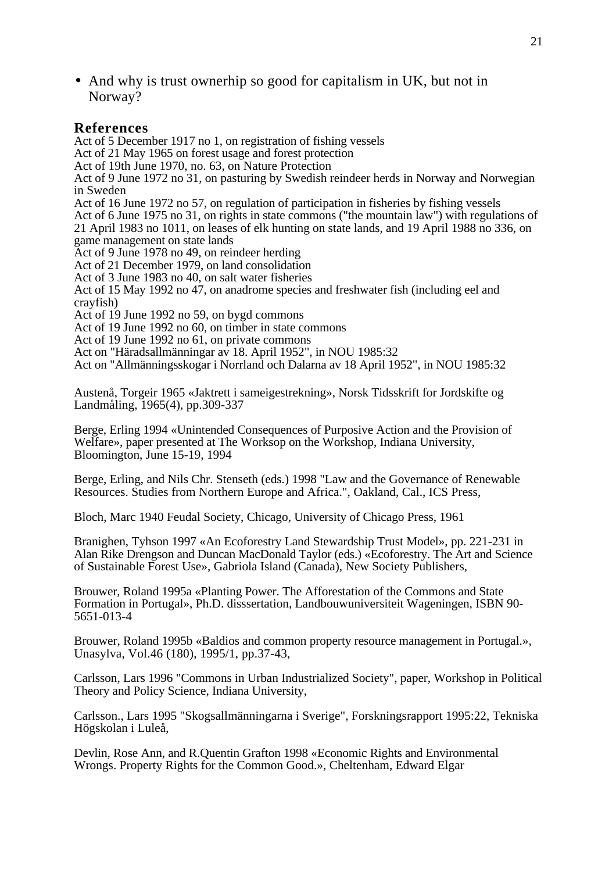• And why is trust ownerhip so good for capitalism in UK, but not in Norway?

#### **References**

Act of 5 December 1917 no 1, on registration of fishing vessels Act of 21 May 1965 on forest usage and forest protection Act of 19th June 1970, no. 63, on Nature Protection Act of 9 June 1972 no 31, on pasturing by Swedish reindeer herds in Norway and Norwegian in Sweden Act of 16 June 1972 no 57, on regulation of participation in fisheries by fishing vessels Act of 6 June 1975 no 31, on rights in state commons ("the mountain law") with regulations of 21 April 1983 no 1011, on leases of elk hunting on state lands, and 19 April 1988 no 336, on game management on state lands Act of 9 June 1978 no 49, on reindeer herding Act of 21 December 1979, on land consolidation Act of 3 June 1983 no 40, on salt water fisheries Act of 15 May 1992 no 47, on anadrome species and freshwater fish (including eel and crayfish) Act of 19 June 1992 no 59, on bygd commons Act of 19 June 1992 no 60, on timber in state commons Act of 19 June 1992 no 61, on private commons Act on "Häradsallmänningar av 18. April 1952", in NOU 1985:32 Act on "Allmänningsskogar i Norrland och Dalarna av 18 April 1952", in NOU 1985:32

Austenå, Torgeir 1965 «Jaktrett i sameigestrekning», Norsk Tidsskrift for Jordskifte og Landmåling, 1965(4), pp.309-337

Berge, Erling 1994 «Unintended Consequences of Purposive Action and the Provision of Welfare», paper presented at The Worksop on the Workshop, Indiana University, Bloomington, June 15-19, 1994

Berge, Erling, and Nils Chr. Stenseth (eds.) 1998 "Law and the Governance of Renewable Resources. Studies from Northern Europe and Africa.", Oakland, Cal., ICS Press,

Bloch, Marc 1940 Feudal Society, Chicago, University of Chicago Press, 1961

Branighen, Tyhson 1997 «An Ecoforestry Land Stewardship Trust Model», pp. 221-231 in Alan Rike Drengson and Duncan MacDonald Taylor (eds.) «Ecoforestry. The Art and Science of Sustainable Forest Use», Gabriola Island (Canada), New Society Publishers,

Brouwer, Roland 1995a «Planting Power. The Afforestation of the Commons and State Formation in Portugal», Ph.D. disssertation, Landbouwuniversiteit Wageningen, ISBN 90- 5651-013-4

Brouwer, Roland 1995b «Baldios and common property resource management in Portugal.», Unasylva, Vol.46 (180), 1995/1, pp.37-43,

Carlsson, Lars 1996 "Commons in Urban Industrialized Society", paper, Workshop in Political Theory and Policy Science, Indiana University,

Carlsson., Lars 1995 "Skogsallmänningarna i Sverige", Forskningsrapport 1995:22, Tekniska Högskolan i Luleå,

Devlin, Rose Ann, and R.Quentin Grafton 1998 «Economic Rights and Environmental Wrongs. Property Rights for the Common Good.», Cheltenham, Edward Elgar